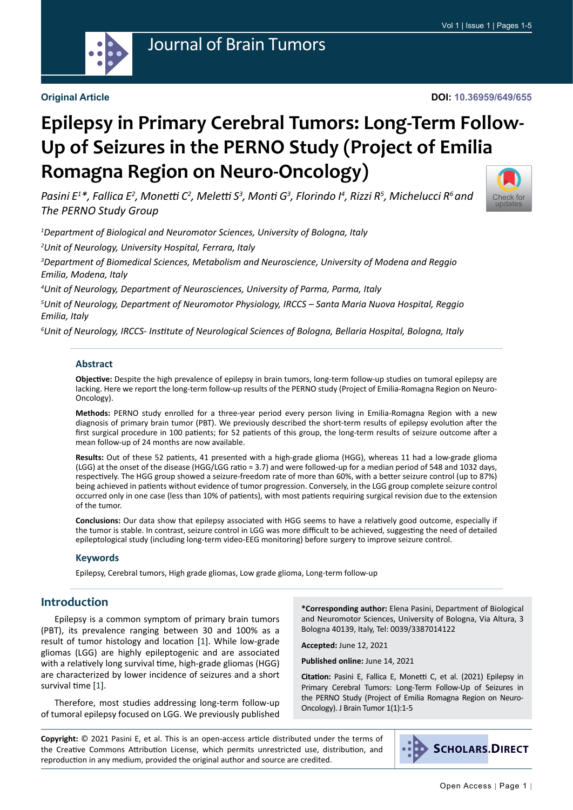

# Journal of Brain Tumors

#### **Original Article**

[Check for](http://crossmark.crossref.org/dialog/?doi=10.36959/649/655&domain=pdf) updates

# **Epilepsy in Primary Cerebral Tumors: Long-Term Follow-Up of Seizures in the PERNO Study (Project of Emilia Romagna Region on Neuro-Oncology)**

*Pasini E1 \*, Fallica E2 , Monetti C<sup>2</sup> , Meletti S<sup>3</sup> , Monti G<sup>3</sup> , Florindo I4 , Rizzi R5 , Michelucci R6 and The PERNO Study Group*

*1 Department of Biological and Neuromotor Sciences, University of Bologna, Italy*

*2 Unit of Neurology, University Hospital, Ferrara, Italy*

*3 Department of Biomedical Sciences, Metabolism and Neuroscience, University of Modena and Reggio Emilia, Modena, Italy*

*4 Unit of Neurology, Department of Neurosciences, University of Parma, Parma, Italy*

*5 Unit of Neurology, Department of Neuromotor Physiology, IRCCS – Santa Maria Nuova Hospital, Reggio Emilia, Italy*

*6 Unit of Neurology, IRCCS- Institute of Neurological Sciences of Bologna, Bellaria Hospital, Bologna, Italy*

#### **Abstract**

**Objective:** Despite the high prevalence of epilepsy in brain tumors, long-term follow-up studies on tumoral epilepsy are lacking. Here we report the long-term follow-up results of the PERNO study (Project of Emilia-Romagna Region on Neuro-Oncology).

**Methods:** PERNO study enrolled for a three-year period every person living in Emilia-Romagna Region with a new diagnosis of primary brain tumor (PBT). We previously described the short-term results of epilepsy evolution after the first surgical procedure in 100 patients; for 52 patients of this group, the long-term results of seizure outcome after a mean follow-up of 24 months are now available.

**Results:** Out of these 52 patients, 41 presented with a high-grade glioma (HGG), whereas 11 had a low-grade glioma (LGG) at the onset of the disease (HGG/LGG ratio = 3.7) and were followed-up for a median period of 548 and 1032 days, respectively. The HGG group showed a seizure-freedom rate of more than 60%, with a better seizure control (up to 87%) being achieved in patients without evidence of tumor progression. Conversely, in the LGG group complete seizure control occurred only in one case (less than 10% of patients), with most patients requiring surgical revision due to the extension of the tumor.

**Conclusions:** Our data show that epilepsy associated with HGG seems to have a relatively good outcome, especially if the tumor is stable. In contrast, seizure control in LGG was more difficult to be achieved, suggesting the need of detailed epileptological study (including long-term video-EEG monitoring) before surgery to improve seizure control.

#### **Keywords**

Epilepsy, Cerebral tumors, High grade gliomas, Low grade glioma, Long-term follow-up

#### **Introduction**

Epilepsy is a common symptom of primary brain tumors (PBT), its prevalence ranging between 30 and 100% as a result of tumor histology and location [[1](#page-4-0)]. While low-grade gliomas (LGG) are highly epileptogenic and are associated with a relatively long survival time, high-grade gliomas (HGG) are characterized by lower incidence of seizures and a short survival time [[1\]](#page-4-0).

Therefore, most studies addressing long-term follow-up of tumoral epilepsy focused on LGG. We previously published

**\*Corresponding author:** Elena Pasini, Department of Biological and Neuromotor Sciences, University of Bologna, Via Altura, 3 Bologna 40139, Italy, Tel: 0039/3387014122

**Accepted:** June 12, 2021

**Published online:** June 14, 2021

**Citation:** Pasini E, Fallica E, Monetti C, et al. (2021) Epilepsy in Primary Cerebral Tumors: Long-Term Follow-Up of Seizures in the PERNO Study (Project of Emilia Romagna Region on Neuro-Oncology). J Brain Tumor 1(1):1-5

**Copyright:** © 2021 Pasini E, et al. This is an open-access article distributed under the terms of the Creative Commons Attribution License, which permits unrestricted use, distribution, and reproduction in any medium, provided the original author and source are credited.

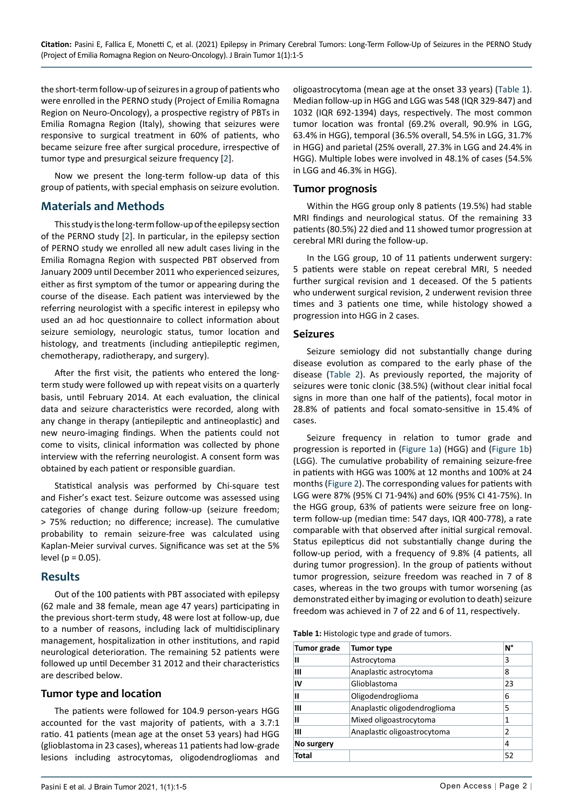the short-term follow-up of seizures in a group of patients who were enrolled in the PERNO study (Project of Emilia Romagna Region on Neuro-Oncology), a prospective registry of PBTs in Emilia Romagna Region (Italy), showing that seizures were responsive to surgical treatment in 60% of patients, who became seizure free after surgical procedure, irrespective of tumor type and presurgical seizure frequency [[2\]](#page-4-1).

Now we present the long-term follow-up data of this group of patients, with special emphasis on seizure evolution.

## **Materials and Methods**

This study is the long-term follow-up of the epilepsy section of the PERNO study [[2](#page-4-1)]. In particular, in the epilepsy section of PERNO study we enrolled all new adult cases living in the Emilia Romagna Region with suspected PBT observed from January 2009 until December 2011 who experienced seizures, either as first symptom of the tumor or appearing during the course of the disease. Each patient was interviewed by the referring neurologist with a specific interest in epilepsy who used an ad hoc questionnaire to collect information about seizure semiology, neurologic status, tumor location and histology, and treatments (including antiepileptic regimen, chemotherapy, radiotherapy, and surgery).

After the first visit, the patients who entered the longterm study were followed up with repeat visits on a quarterly basis, until February 2014. At each evaluation, the clinical data and seizure characteristics were recorded, along with any change in therapy (antiepileptic and antineoplastic) and new neuro-imaging findings. When the patients could not come to visits, clinical information was collected by phone interview with the referring neurologist. A consent form was obtained by each patient or responsible guardian.

Statistical analysis was performed by Chi-square test and Fisher's exact test. Seizure outcome was assessed using categories of change during follow-up (seizure freedom; > 75% reduction; no difference; increase). The cumulative probability to remain seizure-free was calculated using Kaplan-Meier survival curves. Significance was set at the 5% level ( $p = 0.05$ ).

#### **Results**

Out of the 100 patients with PBT associated with epilepsy (62 male and 38 female, mean age 47 years) participating in the previous short-term study, 48 were lost at follow-up, due to a number of reasons, including lack of multidisciplinary management, hospitalization in other institutions, and rapid neurological deterioration. The remaining 52 patients were followed up until December 31 2012 and their characteristics are described below.

### **Tumor type and location**

The patients were followed for 104.9 person-years HGG accounted for the vast majority of patients, with a 3.7:1 ratio. 41 patients (mean age at the onset 53 years) had HGG (glioblastoma in 23 cases), whereas 11 patients had low-grade lesions including astrocytomas, oligodendrogliomas and

oligoastrocytoma (mean age at the onset 33 years) ([Table 1](#page-1-0)). Median follow-up in HGG and LGG was 548 (IQR 329-847) and 1032 (IQR 692-1394) days, respectively. The most common tumor location was frontal (69.2% overall, 90.9% in LGG, 63.4% in HGG), temporal (36.5% overall, 54.5% in LGG, 31.7% in HGG) and parietal (25% overall, 27.3% in LGG and 24.4% in HGG). Multiple lobes were involved in 48.1% of cases (54.5% in LGG and 46.3% in HGG).

#### **Tumor prognosis**

Within the HGG group only 8 patients (19.5%) had stable MRI findings and neurological status. Of the remaining 33 patients (80.5%) 22 died and 11 showed tumor progression at cerebral MRI during the follow-up.

In the LGG group, 10 of 11 patients underwent surgery: 5 patients were stable on repeat cerebral MRI, 5 needed further surgical revision and 1 deceased. Of the 5 patients who underwent surgical revision, 2 underwent revision three times and 3 patients one time, while histology showed a progression into HGG in 2 cases.

#### **Seizures**

Seizure semiology did not substantially change during disease evolution as compared to the early phase of the disease [\(Table 2](#page-3-0)). As previously reported, the majority of seizures were tonic clonic (38.5%) (without clear initial focal signs in more than one half of the patients), focal motor in 28.8% of patients and focal somato-sensitive in 15.4% of cases.

Seizure frequency in relation to tumor grade and progression is reported in ([Figure 1a\)](#page-2-0) (HGG) and [\(Figure 1b\)](#page-2-0) (LGG). The cumulative probability of remaining seizure-free in patients with HGG was 100% at 12 months and 100% at 24 months ([Figure 2](#page-2-1)). The corresponding values for patients with LGG were 87% (95% CI 71-94%) and 60% (95% CI 41-75%). In the HGG group, 63% of patients were seizure free on longterm follow-up (median time: 547 days, IQR 400-778), a rate comparable with that observed after initial surgical removal. Status epilepticus did not substantially change during the follow-up period, with a frequency of 9.8% (4 patients, all during tumor progression). In the group of patients without tumor progression, seizure freedom was reached in 7 of 8 cases, whereas in the two groups with tumor worsening (as demonstrated either by imaging or evolution to death) seizure freedom was achieved in 7 of 22 and 6 of 11, respectively.

<span id="page-1-0"></span>**Table 1:** Histologic type and grade of tumors.

| <b>Tumor grade</b> | Tumor type                   | N° |
|--------------------|------------------------------|----|
| Ш                  | Astrocytoma                  | 3  |
| Ш                  | Anaplastic astrocytoma       | 8  |
| IV                 | Glioblastoma                 | 23 |
| Ш                  | Oligodendroglioma            | 6  |
| Ш                  | Anaplastic oligodendroglioma | 5  |
| Ш                  | Mixed oligoastrocytoma       | 1  |
| Ш                  | Anaplastic oligoastrocytoma  | 2  |
| No surgery         |                              | 4  |
| <b>Total</b>       |                              | 52 |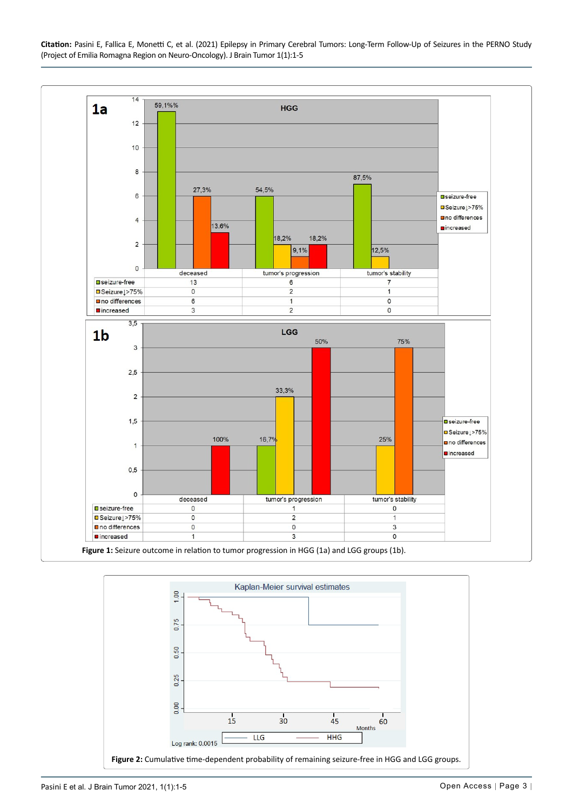**Citation:** Pasini E, Fallica E, Monetti C, et al. (2021) Epilepsy in Primary Cerebral Tumors: Long-Term Follow-Up of Seizures in the PERNO Study (Project of Emilia Romagna Region on Neuro-Oncology). J Brain Tumor 1(1):1-5



<span id="page-2-1"></span><span id="page-2-0"></span>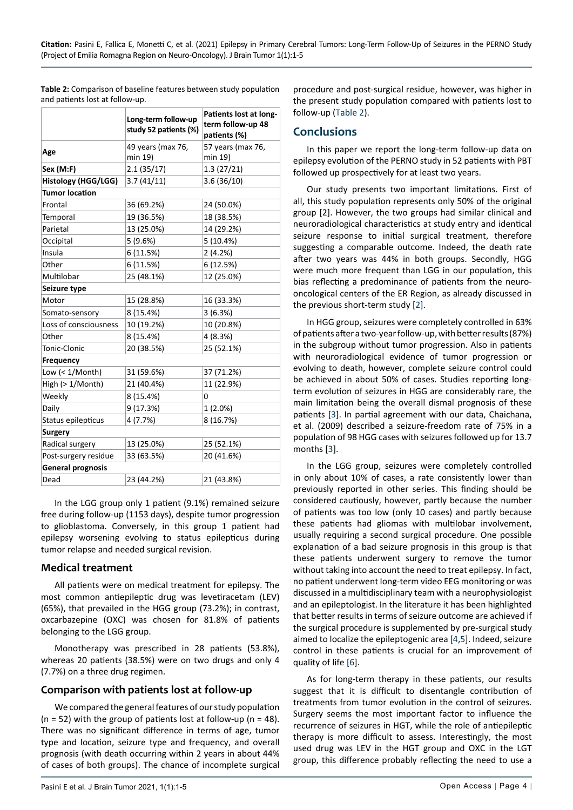|                            | Long-term follow-up<br>study 52 patients (%) | Patients lost at long-<br>term follow-up 48<br>patients (%) |  |  |
|----------------------------|----------------------------------------------|-------------------------------------------------------------|--|--|
| Age                        | 49 years (max 76,                            | 57 years (max 76,                                           |  |  |
|                            | min 19)                                      | min 19)                                                     |  |  |
| Sex (M:F)                  | 2.1(35/17)                                   | 1.3(27/21)                                                  |  |  |
| <b>Histology (HGG/LGG)</b> | 3.7(41/11)                                   | 3.6(36/10)                                                  |  |  |
| <b>Tumor location</b>      |                                              |                                                             |  |  |
| Frontal                    | 36 (69.2%)                                   | 24 (50.0%)                                                  |  |  |
| Temporal                   | 19 (36.5%)                                   | 18 (38.5%)                                                  |  |  |
| Parietal                   | 13 (25.0%)                                   | 14 (29.2%)                                                  |  |  |
| Occipital                  | 5(9.6%)                                      | 5 (10.4%)                                                   |  |  |
| Insula                     | 6 (11.5%)                                    | 2(4.2%)                                                     |  |  |
| Other                      | 6 (11.5%)                                    | 6 (12.5%)                                                   |  |  |
| Multilobar                 | 25 (48.1%)                                   | 12 (25.0%)                                                  |  |  |
| Seizure type               |                                              |                                                             |  |  |
| Motor                      | 15 (28.8%)                                   | 16 (33.3%)                                                  |  |  |
| Somato-sensory             | 8 (15.4%)                                    | 3(6.3%)                                                     |  |  |
| Loss of consciousness      | 10 (19.2%)                                   | 10 (20.8%)                                                  |  |  |
| Other                      | 8 (15.4%)                                    | 4 (8.3%)                                                    |  |  |
| Tonic-Clonic               | 20 (38.5%)                                   | 25 (52.1%)                                                  |  |  |
| <b>Frequency</b>           |                                              |                                                             |  |  |
| Low $(1/Month)$            | 31 (59.6%)                                   | 37 (71.2%)                                                  |  |  |
| High (> 1/Month)           | 21 (40.4%)                                   | 11 (22.9%)                                                  |  |  |
| Weekly                     | 8 (15.4%)                                    | 0                                                           |  |  |
| Daily                      | 9 (17.3%)                                    | $1(2.0\%)$                                                  |  |  |
| Status epilepticus         | 4 (7.7%)                                     | 8 (16.7%)                                                   |  |  |
| <b>Surgery</b>             |                                              |                                                             |  |  |
| Radical surgery            | 13 (25.0%)                                   | 25 (52.1%)                                                  |  |  |
| Post-surgery residue       | 33 (63.5%)                                   | 20 (41.6%)                                                  |  |  |
| <b>General prognosis</b>   |                                              |                                                             |  |  |
| Dead                       | 23 (44.2%)                                   | 21 (43.8%)                                                  |  |  |

<span id="page-3-0"></span>**Table 2:** Comparison of baseline features between study population and patients lost at follow-up.

In the LGG group only 1 patient (9.1%) remained seizure free during follow-up (1153 days), despite tumor progression to glioblastoma. Conversely, in this group 1 patient had epilepsy worsening evolving to status epilepticus during tumor relapse and needed surgical revision.

#### **Medical treatment**

All patients were on medical treatment for epilepsy. The most common antiepileptic drug was levetiracetam (LEV) (65%), that prevailed in the HGG group (73.2%); in contrast, oxcarbazepine (OXC) was chosen for 81.8% of patients belonging to the LGG group.

Monotherapy was prescribed in 28 patients (53.8%), whereas 20 patients (38.5%) were on two drugs and only 4 (7.7%) on a three drug regimen.

#### **Comparison with patients lost at follow-up**

We compared the general features of our study population ( $n = 52$ ) with the group of patients lost at follow-up ( $n = 48$ ). There was no significant difference in terms of age, tumor type and location, seizure type and frequency, and overall prognosis (with death occurring within 2 years in about 44% of cases of both groups). The chance of incomplete surgical

procedure and post-surgical residue, however, was higher in the present study population compared with patients lost to follow-up ([Table 2](#page-3-0)).

## **Conclusions**

In this paper we report the long-term follow-up data on epilepsy evolution of the PERNO study in 52 patients with PBT followed up prospectively for at least two years.

Our study presents two important limitations. First of all, this study population represents only 50% of the original group [2]. However, the two groups had similar clinical and neuroradiological characteristics at study entry and identical seizure response to initial surgical treatment, therefore suggesting a comparable outcome. Indeed, the death rate after two years was 44% in both groups. Secondly, HGG were much more frequent than LGG in our population, this bias reflecting a predominance of patients from the neurooncological centers of the ER Region, as already discussed in the previous short-term study [[2\]](#page-4-1).

In HGG group, seizures were completely controlled in 63% of patients after a two-year follow-up, with better results (87%) in the subgroup without tumor progression. Also in patients with neuroradiological evidence of tumor progression or evolving to death, however, complete seizure control could be achieved in about 50% of cases. Studies reporting longterm evolution of seizures in HGG are considerably rare, the main limitation being the overall dismal prognosis of these patients [\[3](#page-4-2)]. In partial agreement with our data, Chaichana, et al. (2009) described a seizure-freedom rate of 75% in a population of 98 HGG cases with seizures followed up for 13.7 months [\[3](#page-4-2)].

In the LGG group, seizures were completely controlled in only about 10% of cases, a rate consistently lower than previously reported in other series. This finding should be considered cautiously, however, partly because the number of patients was too low (only 10 cases) and partly because these patients had gliomas with multilobar involvement, usually requiring a second surgical procedure. One possible explanation of a bad seizure prognosis in this group is that these patients underwent surgery to remove the tumor without taking into account the need to treat epilepsy. In fact, no patient underwent long-term video EEG monitoring or was discussed in a multidisciplinary team with a neurophysiologist and an epileptologist. In the literature it has been highlighted that better results in terms of seizure outcome are achieved if the surgical procedure is supplemented by pre-surgical study aimed to localize the epileptogenic area [[4](#page-4-3),[5](#page-4-4)]. Indeed, seizure control in these patients is crucial for an improvement of quality of life [\[6](#page-4-5)].

As for long-term therapy in these patients, our results suggest that it is difficult to disentangle contribution of treatments from tumor evolution in the control of seizures. Surgery seems the most important factor to influence the recurrence of seizures in HGT, while the role of antiepileptic therapy is more difficult to assess. Interestingly, the most used drug was LEV in the HGT group and OXC in the LGT group, this difference probably reflecting the need to use a